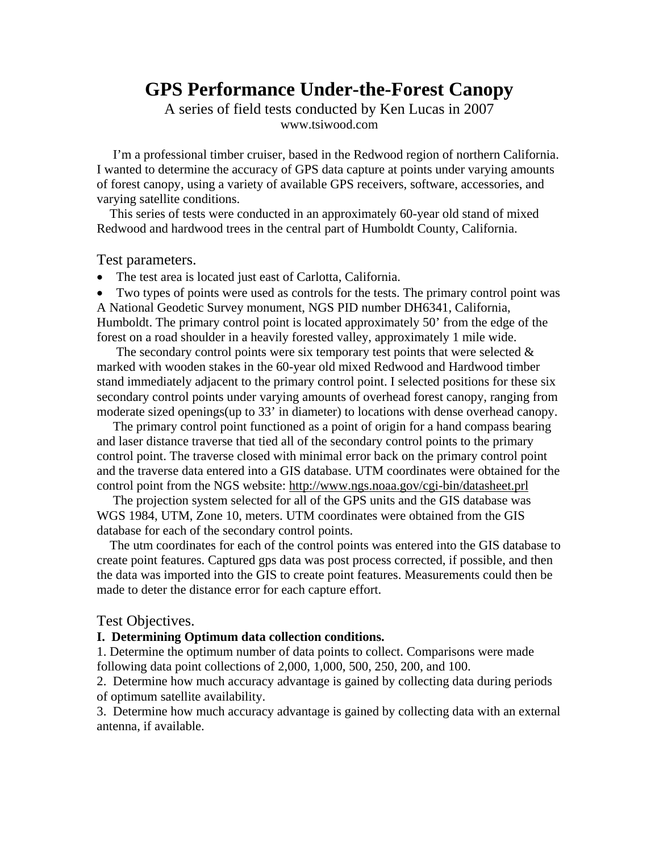# **GPS Performance Under-the-Forest Canopy**

A series of field tests conducted by Ken Lucas in 2007 www.tsiwood.com

 I'm a professional timber cruiser, based in the Redwood region of northern California. I wanted to determine the accuracy of GPS data capture at points under varying amounts of forest canopy, using a variety of available GPS receivers, software, accessories, and varying satellite conditions.

 This series of tests were conducted in an approximately 60-year old stand of mixed Redwood and hardwood trees in the central part of Humboldt County, California.

Test parameters.

• The test area is located just east of Carlotta, California.

• Two types of points were used as controls for the tests. The primary control point was A National Geodetic Survey monument, NGS PID number DH6341, California, Humboldt. The primary control point is located approximately 50' from the edge of the forest on a road shoulder in a heavily forested valley, approximately 1 mile wide.

The secondary control points were six temporary test points that were selected  $\&$ marked with wooden stakes in the 60-year old mixed Redwood and Hardwood timber stand immediately adjacent to the primary control point. I selected positions for these six secondary control points under varying amounts of overhead forest canopy, ranging from moderate sized openings(up to 33' in diameter) to locations with dense overhead canopy.

 The primary control point functioned as a point of origin for a hand compass bearing and laser distance traverse that tied all of the secondary control points to the primary control point. The traverse closed with minimal error back on the primary control point and the traverse data entered into a GIS database. UTM coordinates were obtained for the control point from the NGS website: <http://www.ngs.noaa.gov/cgi-bin/datasheet.prl>

 The projection system selected for all of the GPS units and the GIS database was WGS 1984, UTM, Zone 10, meters. UTM coordinates were obtained from the GIS database for each of the secondary control points.

 The utm coordinates for each of the control points was entered into the GIS database to create point features. Captured gps data was post process corrected, if possible, and then the data was imported into the GIS to create point features. Measurements could then be made to deter the distance error for each capture effort.

#### Test Objectives.

#### **I. Determining Optimum data collection conditions.**

1. Determine the optimum number of data points to collect. Comparisons were made following data point collections of 2,000, 1,000, 500, 250, 200, and 100.

2. Determine how much accuracy advantage is gained by collecting data during periods of optimum satellite availability.

3. Determine how much accuracy advantage is gained by collecting data with an external antenna, if available.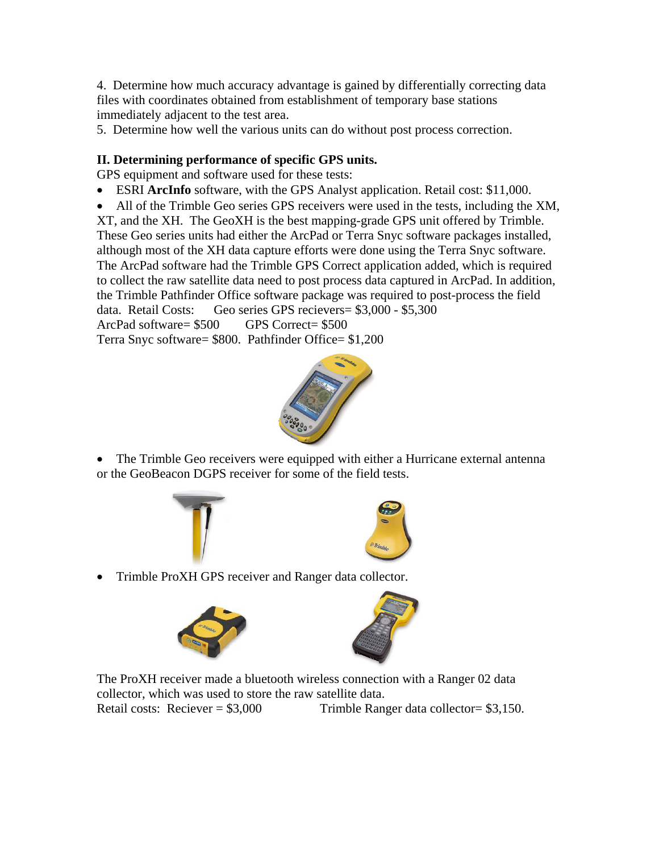4. Determine how much accuracy advantage is gained by differentially correcting data files with coordinates obtained from establishment of temporary base stations immediately adjacent to the test area.

5. Determine how well the various units can do without post process correction.

## **II. Determining performance of specific GPS units.**

GPS equipment and software used for these tests:

- ESRI **ArcInfo** software, with the GPS Analyst application. Retail cost: \$11,000.
- All of the Trimble Geo series GPS receivers were used in the tests, including the XM,

XT, and the XH. The GeoXH is the best mapping-grade GPS unit offered by Trimble. These Geo series units had either the ArcPad or Terra Snyc software packages installed, although most of the XH data capture efforts were done using the Terra Snyc software. The ArcPad software had the Trimble GPS Correct application added, which is required to collect the raw satellite data need to post process data captured in ArcPad. In addition, the Trimble Pathfinder Office software package was required to post-process the field data. Retail Costs: Geo series GPS recievers= \$3,000 - \$5,300 ArcPad software= \$500 GPS Correct= \$500

Terra Snyc software= \$800. Pathfinder Office= \$1,200



• The Trimble Geo receivers were equipped with either a Hurricane external antenna or the GeoBeacon DGPS receiver for some of the field tests.





• Trimble ProXH GPS receiver and Ranger data collector.





 The ProXH receiver made a bluetooth wireless connection with a Ranger 02 data collector, which was used to store the raw satellite data. Retail costs: Reciever =  $$3,000$  Trimble Ranger data collector =  $$3,150$ .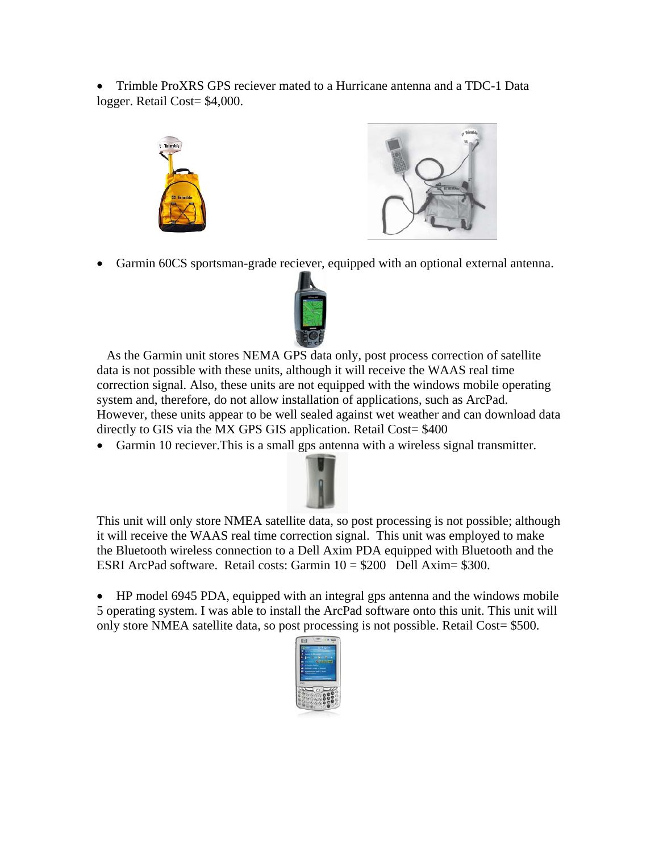• Trimble ProXRS GPS reciever mated to a Hurricane antenna and a TDC-1 Data logger. Retail Cost= \$4,000.





• Garmin 60CS sportsman-grade reciever, equipped with an optional external antenna.



 As the Garmin unit stores NEMA GPS data only, post process correction of satellite data is not possible with these units, although it will receive the WAAS real time correction signal. Also, these units are not equipped with the windows mobile operating system and, therefore, do not allow installation of applications, such as ArcPad. However, these units appear to be well sealed against wet weather and can download data directly to GIS via the MX GPS GIS application. Retail Cost= \$400

• Garmin 10 reciever.This is a small gps antenna with a wireless signal transmitter.



 This unit will only store NMEA satellite data, so post processing is not possible; although it will receive the WAAS real time correction signal. This unit was employed to make the Bluetooth wireless connection to a Dell Axim PDA equipped with Bluetooth and the ESRI ArcPad software. Retail costs: Garmin  $10 = $200$  Dell Axim= \$300.

• HP model 6945 PDA, equipped with an integral gps antenna and the windows mobile 5 operating system. I was able to install the ArcPad software onto this unit. This unit will only store NMEA satellite data, so post processing is not possible. Retail Cost= \$500.

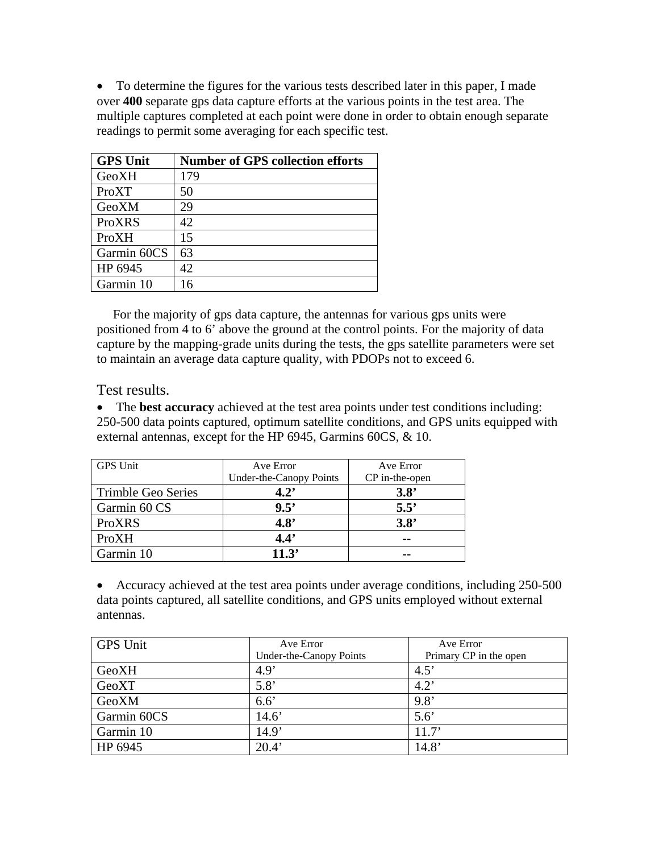• To determine the figures for the various tests described later in this paper, I made over **400** separate gps data capture efforts at the various points in the test area. The multiple captures completed at each point were done in order to obtain enough separate readings to permit some averaging for each specific test.

| <b>GPS Unit</b> | <b>Number of GPS collection efforts</b> |
|-----------------|-----------------------------------------|
| GeoXH           | 179                                     |
| ProXT           | 50                                      |
| GeoXM           | 29                                      |
| ProXRS          | 42                                      |
| ProXH           | 15                                      |
| Garmin 60CS     | 63                                      |
| HP 6945         | 42                                      |
| Garmin 10       | 16                                      |

 For the majority of gps data capture, the antennas for various gps units were positioned from 4 to 6' above the ground at the control points. For the majority of data capture by the mapping-grade units during the tests, the gps satellite parameters were set to maintain an average data capture quality, with PDOPs not to exceed 6.

Test results.

• The **best accuracy** achieved at the test area points under test conditions including: 250-500 data points captured, optimum satellite conditions, and GPS units equipped with external antennas, except for the HP 6945, Garmins 60CS, & 10.

| <b>GPS</b> Unit    | Ave Error               | Ave Error      |
|--------------------|-------------------------|----------------|
|                    | Under-the-Canopy Points | CP in-the-open |
| Trimble Geo Series | $4.2^{\circ}$           | 3.8'           |
| Garmin 60 CS       | 9.5'                    | $5.5^{\circ}$  |
| ProXRS             | 4.8'                    | 3.8'           |
| ProXH              | 4.4'                    | --             |
| Garmin 10          | 11.3'                   |                |

• Accuracy achieved at the test area points under average conditions, including 250-500 data points captured, all satellite conditions, and GPS units employed without external antennas.

| <b>GPS</b> Unit | Ave Error               | Ave Error              |
|-----------------|-------------------------|------------------------|
|                 | Under-the-Canopy Points | Primary CP in the open |
| GeoXH           | 4.9'                    | 4.5'                   |
| GeoXT           | 5.8'                    | $4.2^{\circ}$          |
| GeoXM           | $6.6^\circ$             | 9.8'                   |
| Garmin 60CS     | 14.6'                   | $5.6^\circ$            |
| Garmin 10       | 14.9'                   | 11.7'                  |
| HP 6945         | 20.4'                   | 14.8'                  |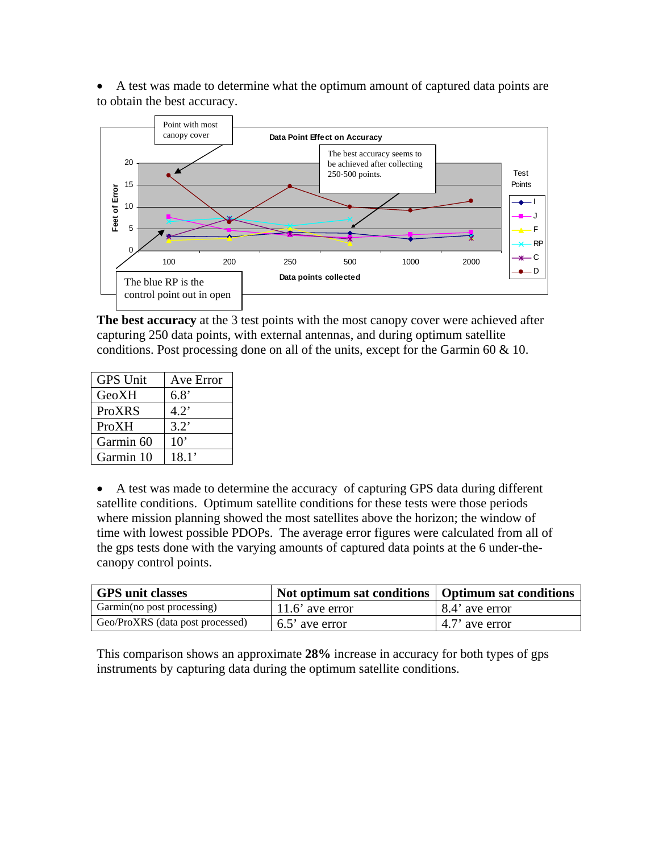• A test was made to determine what the optimum amount of captured data points are to obtain the best accuracy.



**The best accuracy** at the 3 test points with the most canopy cover were achieved after capturing 250 data points, with external antennas, and during optimum satellite conditions. Post processing done on all of the units, except for the Garmin 60 & 10.

| <b>GPS Unit</b> | Ave Error     |
|-----------------|---------------|
| GeoXH           | 6.8'          |
| <b>ProXRS</b>   | $4.2^{\circ}$ |
| ProXH           | 3.2'          |
| Garmin 60       | $10^{\circ}$  |
| Garmin 10       | 18.1'         |

• A test was made to determine the accuracy of capturing GPS data during different satellite conditions. Optimum satellite conditions for these tests were those periods where mission planning showed the most satellites above the horizon; the window of time with lowest possible PDOPs. The average error figures were calculated from all of the gps tests done with the varying amounts of captured data points at the 6 under-thecanopy control points.

| <b>GPS</b> unit classes          | Not optimum sat conditions   Optimum sat conditions |                  |
|----------------------------------|-----------------------------------------------------|------------------|
| Garmin(no post processing)       | $11.6'$ ave error                                   | 8.4' ave error   |
| Geo/ProXRS (data post processed) | 6.5' ave error                                      | $4.7'$ ave error |

This comparison shows an approximate **28%** increase in accuracy for both types of gps instruments by capturing data during the optimum satellite conditions.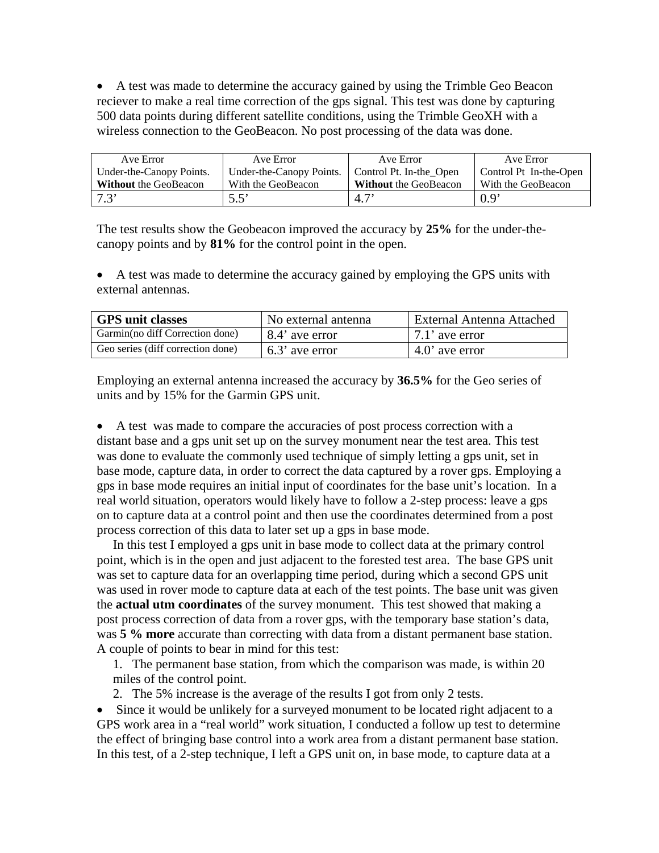• A test was made to determine the accuracy gained by using the Trimble Geo Beacon reciever to make a real time correction of the gps signal. This test was done by capturing 500 data points during different satellite conditions, using the Trimble GeoXH with a wireless connection to the GeoBeacon. No post processing of the data was done.

| Ave Error                    | Ave Error                | Ave Error                    | Ave Error              |
|------------------------------|--------------------------|------------------------------|------------------------|
| Under-the-Canopy Points.     | Under-the-Canopy Points. | Control Pt. In-the_Open      | Control Pt In-the-Open |
| <b>Without</b> the GeoBeacon | With the GeoBeacon       | <b>Without</b> the GeoBeacon | With the GeoBeacon     |
| 7.3                          | $5.5^\circ$              | 4.7'                         | $0.9^{\circ}$          |

The test results show the Geobeacon improved the accuracy by **25%** for the under-thecanopy points and by **81%** for the control point in the open.

• A test was made to determine the accuracy gained by employing the GPS units with external antennas.

| <b>GPS</b> unit classes           | No external antenna | External Antenna Attached |
|-----------------------------------|---------------------|---------------------------|
| Garmin(no diff Correction done)   | 8.4' ave error      | $\mid$ 7.1' ave error     |
| Geo series (diff correction done) | 6.3' ave error      | $4.0'$ ave error          |

Employing an external antenna increased the accuracy by **36.5%** for the Geo series of units and by 15% for the Garmin GPS unit.

• A test was made to compare the accuracies of post process correction with a distant base and a gps unit set up on the survey monument near the test area. This test was done to evaluate the commonly used technique of simply letting a gps unit, set in base mode, capture data, in order to correct the data captured by a rover gps. Employing a gps in base mode requires an initial input of coordinates for the base unit's location. In a real world situation, operators would likely have to follow a 2-step process: leave a gps on to capture data at a control point and then use the coordinates determined from a post process correction of this data to later set up a gps in base mode.

 In this test I employed a gps unit in base mode to collect data at the primary control point, which is in the open and just adjacent to the forested test area. The base GPS unit was set to capture data for an overlapping time period, during which a second GPS unit was used in rover mode to capture data at each of the test points. The base unit was given the **actual utm coordinates** of the survey monument. This test showed that making a post process correction of data from a rover gps, with the temporary base station's data, was **5 % more** accurate than correcting with data from a distant permanent base station. A couple of points to bear in mind for this test:

1. The permanent base station, from which the comparison was made, is within 20 miles of the control point.

2. The 5% increase is the average of the results I got from only 2 tests.

• Since it would be unlikely for a surveyed monument to be located right adjacent to a GPS work area in a "real world" work situation, I conducted a follow up test to determine the effect of bringing base control into a work area from a distant permanent base station. In this test, of a 2-step technique, I left a GPS unit on, in base mode, to capture data at a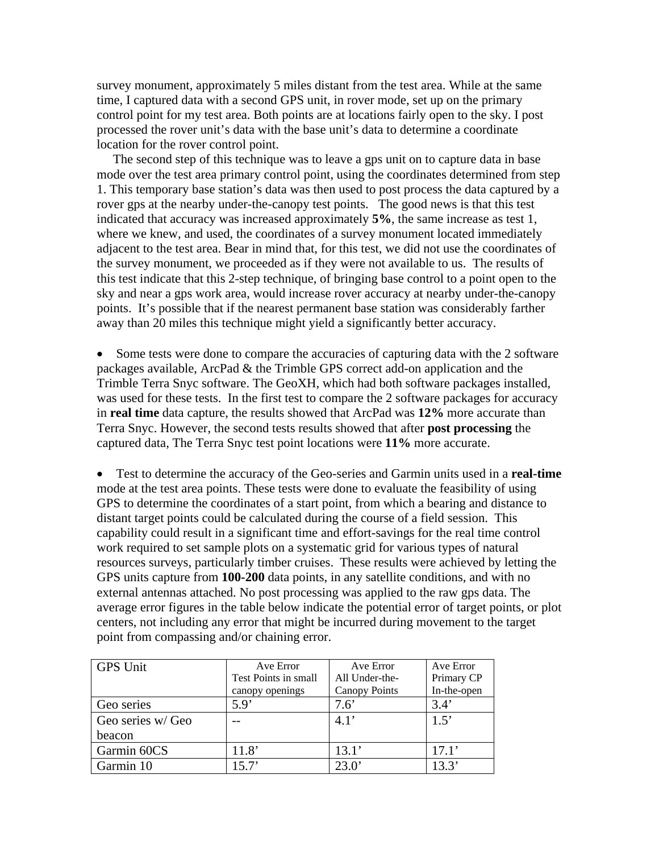survey monument, approximately 5 miles distant from the test area. While at the same time, I captured data with a second GPS unit, in rover mode, set up on the primary control point for my test area. Both points are at locations fairly open to the sky. I post processed the rover unit's data with the base unit's data to determine a coordinate location for the rover control point.

 The second step of this technique was to leave a gps unit on to capture data in base mode over the test area primary control point, using the coordinates determined from step 1. This temporary base station's data was then used to post process the data captured by a rover gps at the nearby under-the-canopy test points. The good news is that this test indicated that accuracy was increased approximately **5%**, the same increase as test 1, where we knew, and used, the coordinates of a survey monument located immediately adjacent to the test area. Bear in mind that, for this test, we did not use the coordinates of the survey monument, we proceeded as if they were not available to us. The results of this test indicate that this 2-step technique, of bringing base control to a point open to the sky and near a gps work area, would increase rover accuracy at nearby under-the-canopy points. It's possible that if the nearest permanent base station was considerably farther away than 20 miles this technique might yield a significantly better accuracy.

• Some tests were done to compare the accuracies of capturing data with the 2 software packages available, ArcPad & the Trimble GPS correct add-on application and the Trimble Terra Snyc software. The GeoXH, which had both software packages installed, was used for these tests. In the first test to compare the 2 software packages for accuracy in **real time** data capture, the results showed that ArcPad was **12%** more accurate than Terra Snyc. However, the second tests results showed that after **post processing** the captured data, The Terra Snyc test point locations were **11%** more accurate.

• Test to determine the accuracy of the Geo-series and Garmin units used in a **real-time** mode at the test area points. These tests were done to evaluate the feasibility of using GPS to determine the coordinates of a start point, from which a bearing and distance to distant target points could be calculated during the course of a field session. This capability could result in a significant time and effort-savings for the real time control work required to set sample plots on a systematic grid for various types of natural resources surveys, particularly timber cruises. These results were achieved by letting the GPS units capture from **100-200** data points, in any satellite conditions, and with no external antennas attached. No post processing was applied to the raw gps data. The average error figures in the table below indicate the potential error of target points, or plot centers, not including any error that might be incurred during movement to the target point from compassing and/or chaining error.

| <b>GPS Unit</b>   | Ave Error            | Ave Error            | Ave Error   |
|-------------------|----------------------|----------------------|-------------|
|                   | Test Points in small | All Under-the-       | Primary CP  |
|                   | canopy openings      | <b>Canopy Points</b> | In-the-open |
| Geo series        | 5.9'                 | $7.6^\circ$          | 3.4'        |
| Geo series w/ Geo |                      | 4.1'                 | 1.5'        |
| beacon            |                      |                      |             |
| Garmin 60CS       | 11.8'                | 13.1'                | 17.1'       |
| Garmin 10         | 15.7'                | 23.0'                | 13.3'       |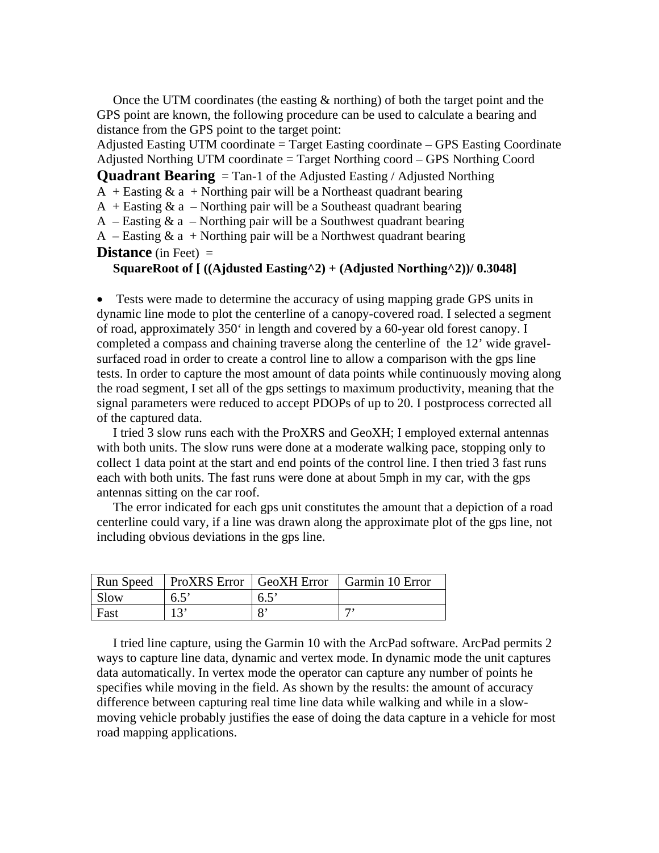Once the UTM coordinates (the easting & northing) of both the target point and the GPS point are known, the following procedure can be used to calculate a bearing and distance from the GPS point to the target point:

Adjusted Easting UTM coordinate  $=$  Target Easting coordinate  $-$  GPS Easting Coordinate Adjusted Northing UTM coordinate = Target Northing coord – GPS Northing Coord

**Quadrant Bearing** = Tan-1 of the Adjusted Easting / Adjusted Northing

 $A +$  Easting  $\&$  a + Northing pair will be a Northeast quadrant bearing

 $A +$  Easting  $\&$  a – Northing pair will be a Southeast quadrant bearing

A – Easting  $\&$  a – Northing pair will be a Southwest quadrant bearing

A – Easting  $\&$  a + Northing pair will be a Northwest quadrant bearing **Distance** (in Feet) =

**SquareRoot of [ ((Ajdusted Easting^2) + (Adjusted Northing^2))/ 0.3048]** 

• Tests were made to determine the accuracy of using mapping grade GPS units in dynamic line mode to plot the centerline of a canopy-covered road. I selected a segment of road, approximately 350' in length and covered by a 60-year old forest canopy. I completed a compass and chaining traverse along the centerline of the 12' wide gravelsurfaced road in order to create a control line to allow a comparison with the gps line tests. In order to capture the most amount of data points while continuously moving along the road segment, I set all of the gps settings to maximum productivity, meaning that the signal parameters were reduced to accept PDOPs of up to 20. I postprocess corrected all of the captured data.

 I tried 3 slow runs each with the ProXRS and GeoXH; I employed external antennas with both units. The slow runs were done at a moderate walking pace, stopping only to collect 1 data point at the start and end points of the control line. I then tried 3 fast runs each with both units. The fast runs were done at about 5mph in my car, with the gps antennas sitting on the car roof.

 The error indicated for each gps unit constitutes the amount that a depiction of a road centerline could vary, if a line was drawn along the approximate plot of the gps line, not including obvious deviations in the gps line.

| Run Speed   | <b>ProXRS</b> Error GeoXH Error |               | Garmin 10 Error |
|-------------|---------------------------------|---------------|-----------------|
| <b>Slow</b> | $6.5^{\circ}$                   | $6.5^{\circ}$ |                 |
| Fast        |                                 |               |                 |

 I tried line capture, using the Garmin 10 with the ArcPad software. ArcPad permits 2 ways to capture line data, dynamic and vertex mode. In dynamic mode the unit captures data automatically. In vertex mode the operator can capture any number of points he specifies while moving in the field. As shown by the results: the amount of accuracy difference between capturing real time line data while walking and while in a slowmoving vehicle probably justifies the ease of doing the data capture in a vehicle for most road mapping applications.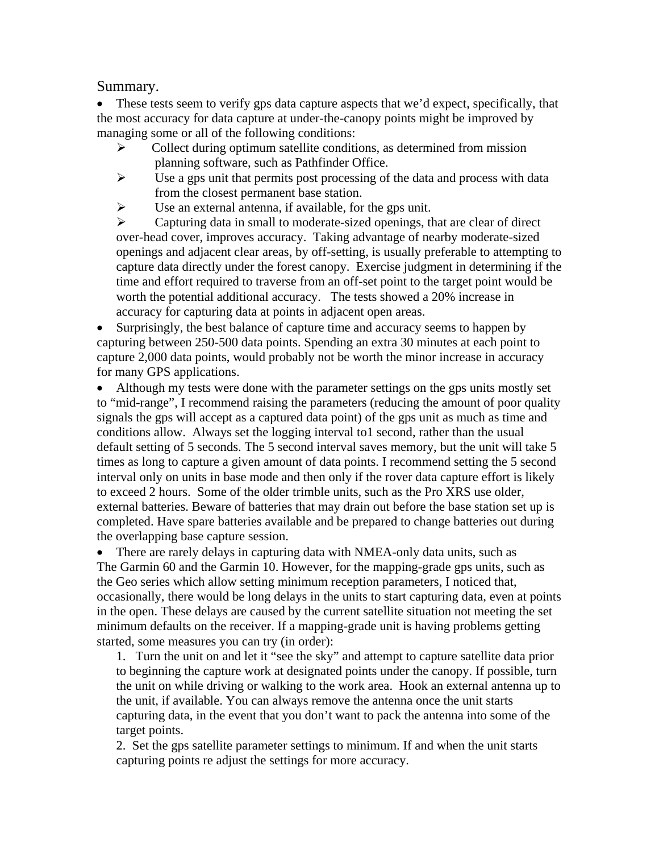### Summary.

• These tests seem to verify gps data capture aspects that we'd expect, specifically, that the most accuracy for data capture at under-the-canopy points might be improved by managing some or all of the following conditions:

- $\triangleright$  Collect during optimum satellite conditions, as determined from mission planning software, such as Pathfinder Office.
- $\triangleright$  Use a gps unit that permits post processing of the data and process with data from the closest permanent base station.
- $\triangleright$  Use an external antenna, if available, for the gps unit.

 $\triangleright$  Capturing data in small to moderate-sized openings, that are clear of direct over-head cover, improves accuracy. Taking advantage of nearby moderate-sized openings and adjacent clear areas, by off-setting, is usually preferable to attempting to capture data directly under the forest canopy. Exercise judgment in determining if the time and effort required to traverse from an off-set point to the target point would be worth the potential additional accuracy. The tests showed a 20% increase in accuracy for capturing data at points in adjacent open areas.

• Surprisingly, the best balance of capture time and accuracy seems to happen by capturing between 250-500 data points. Spending an extra 30 minutes at each point to capture 2,000 data points, would probably not be worth the minor increase in accuracy for many GPS applications.

• Although my tests were done with the parameter settings on the gps units mostly set to "mid-range", I recommend raising the parameters (reducing the amount of poor quality signals the gps will accept as a captured data point) of the gps unit as much as time and conditions allow. Always set the logging interval to1 second, rather than the usual default setting of 5 seconds. The 5 second interval saves memory, but the unit will take 5 times as long to capture a given amount of data points. I recommend setting the 5 second interval only on units in base mode and then only if the rover data capture effort is likely to exceed 2 hours. Some of the older trimble units, such as the Pro XRS use older, external batteries. Beware of batteries that may drain out before the base station set up is completed. Have spare batteries available and be prepared to change batteries out during the overlapping base capture session.

• There are rarely delays in capturing data with NMEA-only data units, such as The Garmin 60 and the Garmin 10. However, for the mapping-grade gps units, such as the Geo series which allow setting minimum reception parameters, I noticed that, occasionally, there would be long delays in the units to start capturing data, even at points in the open. These delays are caused by the current satellite situation not meeting the set minimum defaults on the receiver. If a mapping-grade unit is having problems getting started, some measures you can try (in order):

1. Turn the unit on and let it "see the sky" and attempt to capture satellite data prior to beginning the capture work at designated points under the canopy. If possible, turn the unit on while driving or walking to the work area. Hook an external antenna up to the unit, if available. You can always remove the antenna once the unit starts capturing data, in the event that you don't want to pack the antenna into some of the target points.

2. Set the gps satellite parameter settings to minimum. If and when the unit starts capturing points re adjust the settings for more accuracy.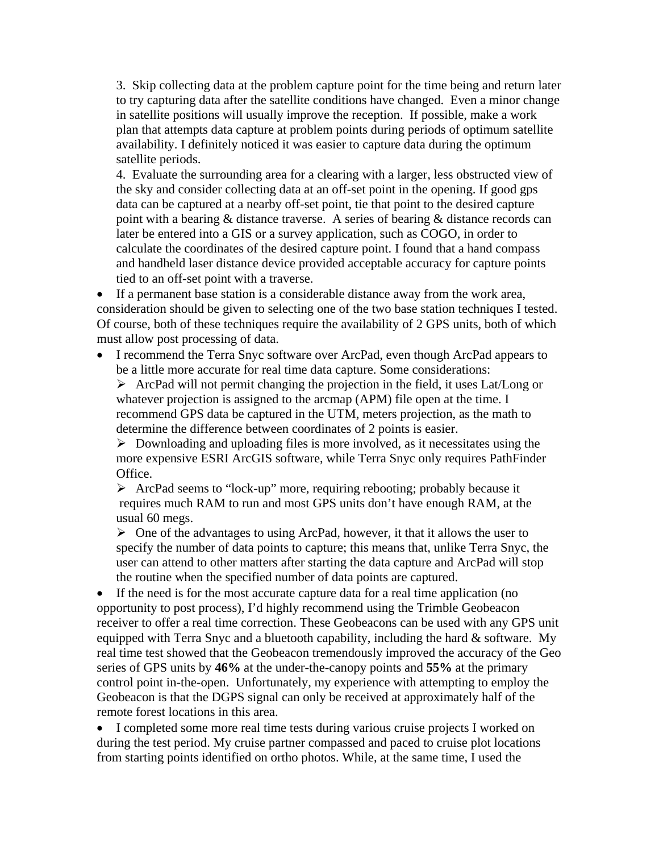3. Skip collecting data at the problem capture point for the time being and return later to try capturing data after the satellite conditions have changed. Even a minor change in satellite positions will usually improve the reception. If possible, make a work plan that attempts data capture at problem points during periods of optimum satellite availability. I definitely noticed it was easier to capture data during the optimum satellite periods.

4. Evaluate the surrounding area for a clearing with a larger, less obstructed view of the sky and consider collecting data at an off-set point in the opening. If good gps data can be captured at a nearby off-set point, tie that point to the desired capture point with a bearing & distance traverse. A series of bearing & distance records can later be entered into a GIS or a survey application, such as COGO, in order to calculate the coordinates of the desired capture point. I found that a hand compass and handheld laser distance device provided acceptable accuracy for capture points tied to an off-set point with a traverse.

• If a permanent base station is a considerable distance away from the work area, consideration should be given to selecting one of the two base station techniques I tested. Of course, both of these techniques require the availability of 2 GPS units, both of which must allow post processing of data.

• I recommend the Terra Snyc software over ArcPad, even though ArcPad appears to be a little more accurate for real time data capture. Some considerations:

 $\triangleright$  ArcPad will not permit changing the projection in the field, it uses Lat/Long or whatever projection is assigned to the arcmap (APM) file open at the time. I recommend GPS data be captured in the UTM, meters projection, as the math to determine the difference between coordinates of 2 points is easier.

 $\triangleright$  Downloading and uploading files is more involved, as it necessitates using the more expensive ESRI ArcGIS software, while Terra Snyc only requires PathFinder Office.

¾ ArcPad seems to "lock-up" more, requiring rebooting; probably because it requires much RAM to run and most GPS units don't have enough RAM, at the usual 60 megs.

 $\triangleright$  One of the advantages to using ArcPad, however, it that it allows the user to specify the number of data points to capture; this means that, unlike Terra Snyc, the user can attend to other matters after starting the data capture and ArcPad will stop the routine when the specified number of data points are captured.

• If the need is for the most accurate capture data for a real time application (no opportunity to post process), I'd highly recommend using the Trimble Geobeacon receiver to offer a real time correction. These Geobeacons can be used with any GPS unit equipped with Terra Snyc and a bluetooth capability, including the hard  $&$  software. My real time test showed that the Geobeacon tremendously improved the accuracy of the Geo series of GPS units by **46%** at the under-the-canopy points and **55%** at the primary control point in-the-open. Unfortunately, my experience with attempting to employ the Geobeacon is that the DGPS signal can only be received at approximately half of the remote forest locations in this area.

• I completed some more real time tests during various cruise projects I worked on during the test period. My cruise partner compassed and paced to cruise plot locations from starting points identified on ortho photos. While, at the same time, I used the